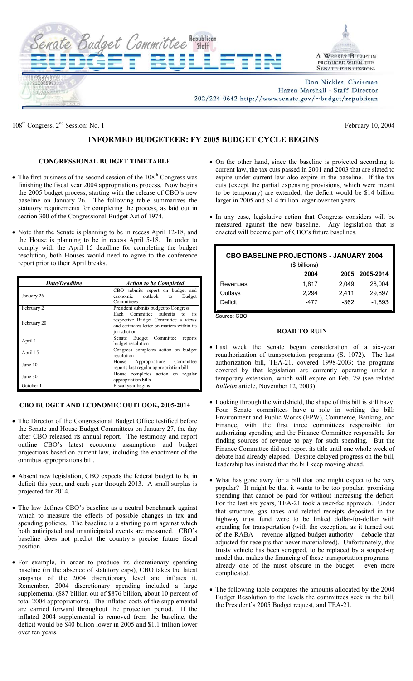

108<sup>th</sup> Congress,  $2<sup>nd</sup>$  Session: No. 1 February 10, 2004

# **INFORMED BUDGETEER: FY 2005 BUDGET CYCLE BEGINS**

## **CONGRESSIONAL BUDGET TIMETABLE**

- The first business of the second session of the  $108<sup>th</sup>$  Congress was finishing the fiscal year 2004 appropriations process. Now begins the 2005 budget process, starting with the release of CBO's new baseline on January 26. The following table summarizes the statutory requirements for completing the process, as laid out in section 300 of the Congressional Budget Act of 1974.
- Note that the Senate is planning to be in recess April 12-18, and the House is planning to be in recess April 5-18. In order to comply with the April 15 deadline for completing the budget resolution, both Houses would need to agree to the conference report prior to their April breaks.

| <b>Date/Deadline</b> | <b>Action to be Completed</b>                                                                                                            |
|----------------------|------------------------------------------------------------------------------------------------------------------------------------------|
| January 26           | CBO submits report on budget and<br>economic outlook<br>Budget<br>to<br>Committees                                                       |
| February 2           | President submits budget to Congress                                                                                                     |
| February 20          | Each Committee submits<br>its<br>to<br>respective Budget Committee a views<br>and estimates letter on matters within its<br>jurisdiction |
| April 1              | Senate Budget Committee<br>reports<br>budget resolution                                                                                  |
| April 15             | Congress completes action on budget<br>resolution                                                                                        |
| June 10              | Appropriations<br>Committee<br>House<br>reports last regular appropriation bill                                                          |
| June 30              | House completes action on regular<br>appropriation bills                                                                                 |
| October 1            | Fiscal year begins                                                                                                                       |

### **CBO BUDGET AND ECONOMIC OUTLOOK, 2005-2014**

- The Director of the Congressional Budget Office testified before the Senate and House Budget Committees on January 27, the day after CBO released its annual report. The testimony and report outline CBO's latest economic assumptions and budget projections based on current law, including the enactment of the omnibus appropriations bill.
- Absent new legislation, CBO expects the federal budget to be in deficit this year, and each year through 2013. A small surplus is projected for 2014.
- The law defines CBO's baseline as a neutral benchmark against which to measure the effects of possible changes in tax and spending policies. The baseline is a starting point against which both anticipated and unanticipated events are measured. CBO's baseline does not predict the country's precise future fiscal position.
- For example, in order to produce its discretionary spending baseline (in the absence of statutory caps), CBO takes the latest snapshot of the 2004 discretionary level and inflates it. Remember, 2004 discretionary spending included a large supplemental (\$87 billion out of \$876 billion, about 10 percent of total 2004 appropriations). The inflated costs of the supplemental are carried forward throughout the projection period. If the inflated 2004 supplemental is removed from the baseline, the deficit would be \$40 billion lower in 2005 and \$1.1 trillion lower over ten years.
- On the other hand, since the baseline is projected according to current law, the tax cuts passed in 2001 and 2003 that are slated to expire under current law also expire in the baseline. If the tax cuts (except the partial expensing provisions, which were meant to be temporary) are extended, the deficit would be \$14 billion larger in 2005 and \$1.4 trillion larger over ten years.
- In any case, legislative action that Congress considers will be measured against the new baseline. Any legislation that is enacted will become part of CBO's future baselines.

| <b>CBO BASELINE PROJECTIONS - JANUARY 2004</b><br>(\$ billions) |       |       |           |  |
|-----------------------------------------------------------------|-------|-------|-----------|--|
|                                                                 | 2004  | 2005  | 2005-2014 |  |
| Revenues                                                        | 1.817 | 2.049 | 28,004    |  |
| Outlays                                                         | 2,294 | 2,411 | 29,897    |  |
| Deficit                                                         | -477  | -362  | $-1,893$  |  |

Source: CBO

#### **ROAD TO RUIN**

- Last week the Senate began consideration of a six-year reauthorization of transportation programs (S. 1072). The last authorization bill, TEA-21, covered 1998-2003; the programs covered by that legislation are currently operating under a temporary extension, which will expire on Feb. 29 (see related *Bulletin* article, November 12, 2003).
- Looking through the windshield, the shape of this bill is still hazy. Four Senate committees have a role in writing the bill: Environment and Public Works (EPW), Commerce, Banking, and Finance, with the first three committees responsible for authorizing spending and the Finance Committee responsible for finding sources of revenue to pay for such spending. But the Finance Committee did not report its title until one whole week of debate had already elapsed. Despite delayed progress on the bill, leadership has insisted that the bill keep moving ahead.
- What has gone awry for a bill that one might expect to be very popular? It might be that it wants to be too popular, promising spending that cannot be paid for without increasing the deficit. For the last six years, TEA-21 took a user-fee approach. Under that structure, gas taxes and related receipts deposited in the highway trust fund were to be linked dollar-for-dollar with spending for transportation (with the exception, as it turned out, of the RABA – revenue aligned budget authority – debacle that adjusted for receipts that never materialized). Unfortunately, this trusty vehicle has been scrapped, to be replaced by a souped-up model that makes the financing of these transportation programs – already one of the most obscure in the budget – even more complicated.
- The following table compares the amounts allocated by the 2004 Budget Resolution to the levels the committees seek in the bill, the President's 2005 Budget request, and TEA-21.